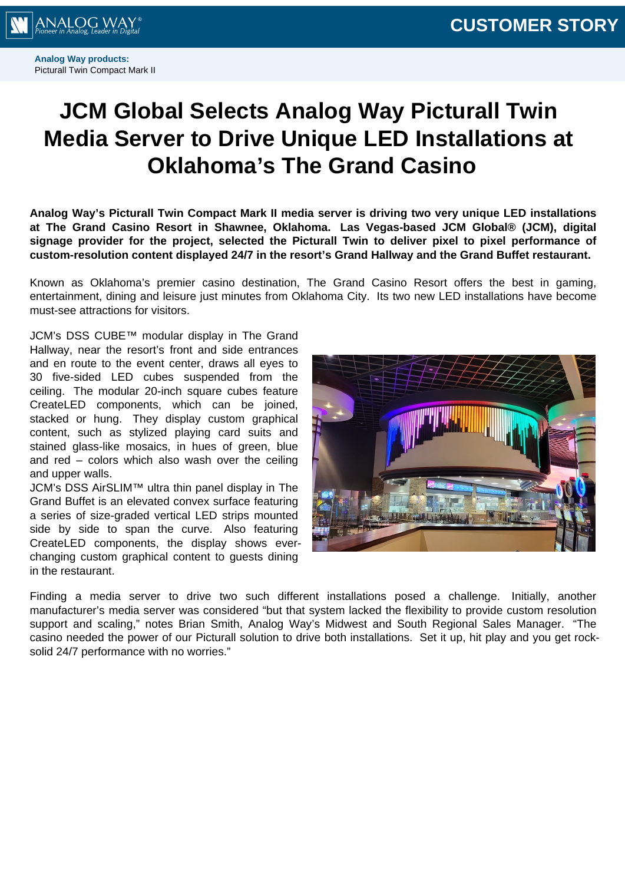

**Analog Way products:** Picturall Twin Compact Mark II

## **JCM Global Selects Analog Way Picturall Twin Media Server to Drive Unique LED Installations at Oklahoma's The Grand Casino**

**Analog Way's Picturall Twin Compact Mark II media server is driving two very unique LED installations at The Grand Casino Resort in Shawnee, Oklahoma. Las Vegas-based JCM Global® (JCM), digital signage provider for the project, selected the Picturall Twin to deliver pixel to pixel performance of custom-resolution content displayed 24/7 in the resort's Grand Hallway and the Grand Buffet restaurant.**

Known as Oklahoma's premier casino destination, The Grand Casino Resort offers the best in gaming, entertainment, dining and leisure just minutes from Oklahoma City. Its two new LED installations have become must-see attractions for visitors.

JCM's DSS CUBE™ modular display in The Grand Hallway, near the resort's front and side entrances and en route to the event center, draws all eyes to 30 five-sided LED cubes suspended from the ceiling. The modular 20-inch square cubes feature CreateLED components, which can be joined, stacked or hung. They display custom graphical content, such as stylized playing card suits and stained glass-like mosaics, in hues of green, blue and red – colors which also wash over the ceiling and upper walls.

JCM's DSS AirSLIM™ ultra thin panel display in The Grand Buffet is an elevated convex surface featuring a series of size-graded vertical LED strips mounted side by side to span the curve. Also featuring CreateLED components, the display shows everchanging custom graphical content to guests dining in the restaurant.



Finding a media server to drive two such different installations posed a challenge. Initially, another manufacturer's media server was considered "but that system lacked the flexibility to provide custom resolution support and scaling," notes Brian Smith, Analog Way's Midwest and South Regional Sales Manager. "The casino needed the power of our Picturall solution to drive both installations. Set it up, hit play and you get rocksolid 24/7 performance with no worries."